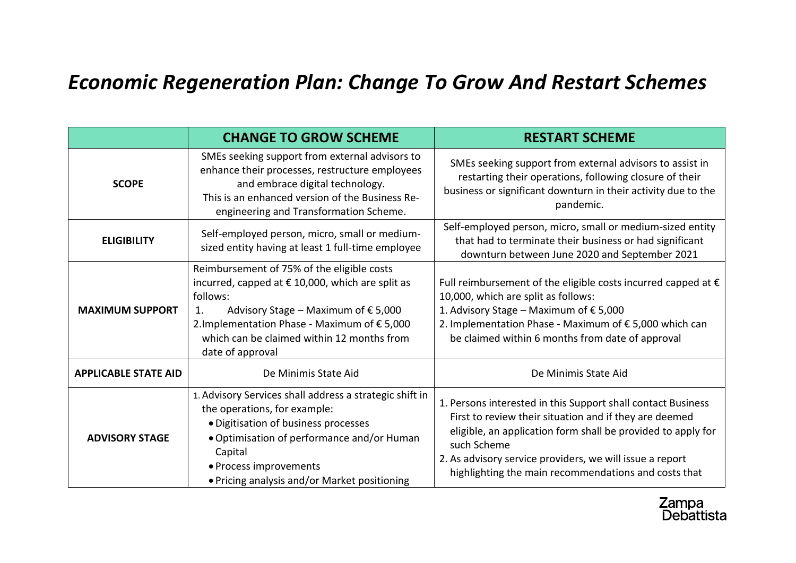## *Economic Regeneration Plan: Change To Grow And Restart Schemes*

|                             | <b>CHANGE TO GROW SCHEME</b>                                                                                                                                                                                                                                                       | <b>RESTART SCHEME</b>                                                                                                                                                                                                                                                                                                     |
|-----------------------------|------------------------------------------------------------------------------------------------------------------------------------------------------------------------------------------------------------------------------------------------------------------------------------|---------------------------------------------------------------------------------------------------------------------------------------------------------------------------------------------------------------------------------------------------------------------------------------------------------------------------|
| <b>SCOPE</b>                | SMEs seeking support from external advisors to<br>enhance their processes, restructure employees<br>and embrace digital technology.<br>This is an enhanced version of the Business Re-<br>engineering and Transformation Scheme.                                                   | SMEs seeking support from external advisors to assist in<br>restarting their operations, following closure of their<br>business or significant downturn in their activity due to the<br>pandemic.                                                                                                                         |
| <b>ELIGIBILITY</b>          | Self-employed person, micro, small or medium-<br>sized entity having at least 1 full-time employee                                                                                                                                                                                 | Self-employed person, micro, small or medium-sized entity<br>that had to terminate their business or had significant<br>downturn between June 2020 and September 2021                                                                                                                                                     |
| <b>MAXIMUM SUPPORT</b>      | Reimbursement of 75% of the eligible costs<br>incurred, capped at € 10,000, which are split as<br>follows:<br>Advisory Stage – Maximum of $\epsilon$ 5,000<br>1.<br>2. Implementation Phase - Maximum of € 5,000<br>which can be claimed within 12 months from<br>date of approval | Full reimbursement of the eligible costs incurred capped at $\epsilon$<br>10,000, which are split as follows:<br>1. Advisory Stage – Maximum of $\epsilon$ 5,000<br>2. Implementation Phase - Maximum of € 5,000 which can<br>be claimed within 6 months from date of approval                                            |
| <b>APPLICABLE STATE AID</b> | De Minimis State Aid                                                                                                                                                                                                                                                               | De Minimis State Aid                                                                                                                                                                                                                                                                                                      |
| <b>ADVISORY STAGE</b>       | 1. Advisory Services shall address a strategic shift in<br>the operations, for example:<br>· Digitisation of business processes<br>• Optimisation of performance and/or Human<br>Capital<br>• Process improvements<br>• Pricing analysis and/or Market positioning                 | 1. Persons interested in this Support shall contact Business<br>First to review their situation and if they are deemed<br>eligible, an application form shall be provided to apply for<br>such Scheme<br>2. As advisory service providers, we will issue a report<br>highlighting the main recommendations and costs that |